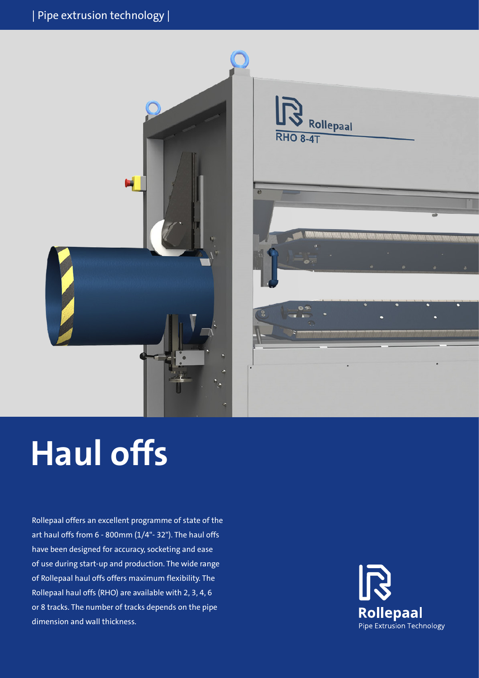

# **Haul offs**

Rollepaal offers an excellent programme of state of the art haul offs from 6 - 800mm (1/4"- 32"). The haul offs have been designed for accuracy, socketing and ease of use during start-up and production. The wide range of Rollepaal haul offs offers maximum flexibility. The Rollepaal haul offs (RHO) are available with 2, 3, 4, 6 or 8 tracks. The number of tracks depends on the pipe dimension and wall thickness.